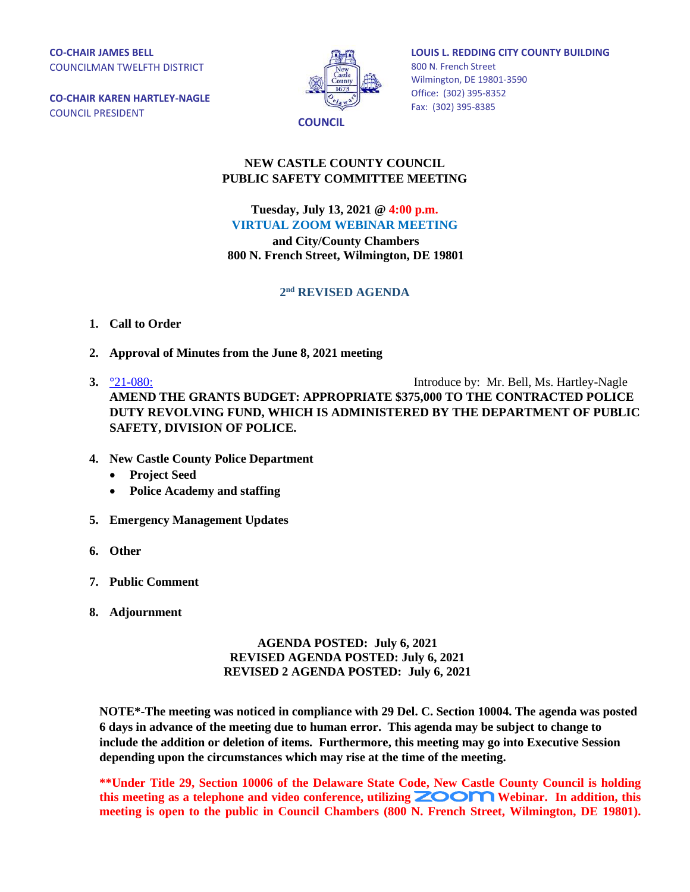**CO-CHAIR JAMES BELL** COUNCILMAN TWELFTH DISTRICT

**CO-CHAIR KAREN HARTLEY-NAGLE** COUNCIL PRESIDENT



**LOUIS L. REDDING CITY COUNTY BUILDING** 800 N. French Street Wilmington, DE 19801-3590 Office: (302) 395-8352 Fax: (302) 395-8385

## **NEW CASTLE COUNTY COUNCIL PUBLIC SAFETY COMMITTEE MEETING**

**Tuesday, July 13, 2021 @ 4:00 p.m. VIRTUAL ZOOM WEBINAR MEETING**

**and City/County Chambers 800 N. French Street, Wilmington, DE 19801**

## **2 nd REVISED AGENDA**

- **1. Call to Order**
- **2. Approval of Minutes from the June 8, 2021 meeting**
- **3.**  $\frac{921-080}{2}$  Introduce by: Mr. Bell, Ms. Hartley-Nagle **AMEND THE GRANTS BUDGET: APPROPRIATE \$375,000 TO THE CONTRACTED POLICE DUTY REVOLVING FUND, WHICH IS ADMINISTERED BY THE DEPARTMENT OF PUBLIC SAFETY, DIVISION OF POLICE.**
- **4. New Castle County Police Department**
	- **Project Seed**
	- **Police Academy and staffing**
- **5. Emergency Management Updates**
- **6. Other**
- **7. Public Comment**
- **8. Adjournment**

## **AGENDA POSTED: July 6, 2021 REVISED AGENDA POSTED: July 6, 2021 REVISED 2 AGENDA POSTED: July 6, 2021**

**NOTE\*-The meeting was noticed in compliance with 29 Del. C. Section 10004. The agenda was posted 6 days in advance of the meeting due to human error. This agenda may be subject to change to include the addition or deletion of items. Furthermore, this meeting may go into Executive Session depending upon the circumstances which may rise at the time of the meeting.** 

**\*\*Under Title 29, Section 10006 of the Delaware State Code, New Castle County Council is holding**  this meeting as a telephone and video conference, utilizing **ZOOM** Webinar. In addition, this **meeting is open to the public in Council Chambers (800 N. French Street, Wilmington, DE 19801).**